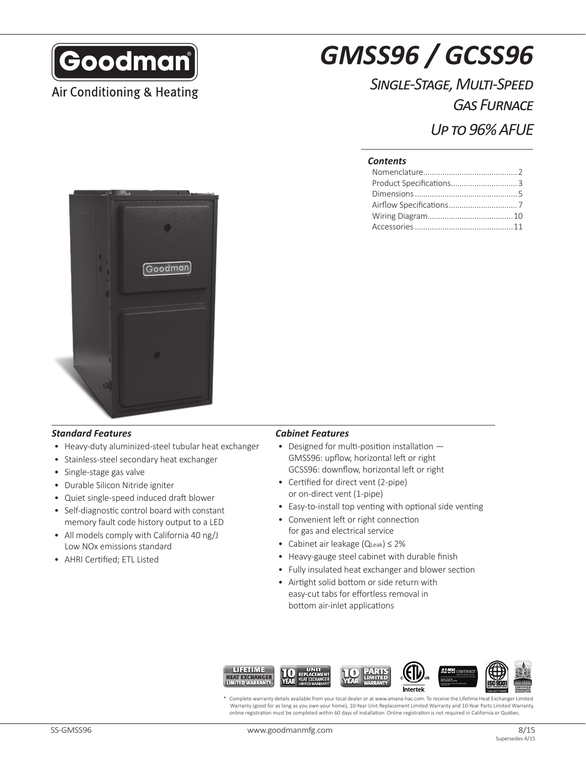

Air Conditioning & Heating

# *GMSS96 / GCSS96*

## *Single-Stage, Multi-Speed Gas Furnace*

*Up to 96% AFUE*

#### *Contents*



#### *Standard Features Cabinet Features*

- Heavy-duty aluminized-steel tubular heat exchanger
- Stainless-steel secondary heat exchanger
- Single-stage gas valve
- Durable Silicon Nitride igniter
- Quiet single-speed induced draft blower
- Self-diagnostic control board with constant memory fault code history output to a LED
- All models comply with California 40 ng/J Low NOx emissions standard
- AHRI Certified; ETL Listed

- Designed for multi-position installation GMSS96: upflow, horizontal left or right GCSS96: downflow, horizontal left or right
- Certified for direct vent (2-pipe) or on-direct vent (1-pipe)
- Easy-to-install top venting with optional side venting
- Convenient left or right connection for gas and electrical service
- Cabinet air leakage (QLeak) ≤ 2%
- Heavy-gauge steel cabinet with durable finish
- Fully insulated heat exchanger and blower section
- Airtight solid bottom or side return with easy-cut tabs for effortless removal in bottom air-inlet applications



\* Complete warranty details available from your local dealer or at www.amana-hac.com. To receive the Lifetime Heat Exchanger Limited Warranty (good for as long as you own your home), 10-Year Unit Replacement Limited Warranty and 10-Year Parts Limited Warranty, online registration must be completed within 60 days of installation. Online registration is not required in California or Québec.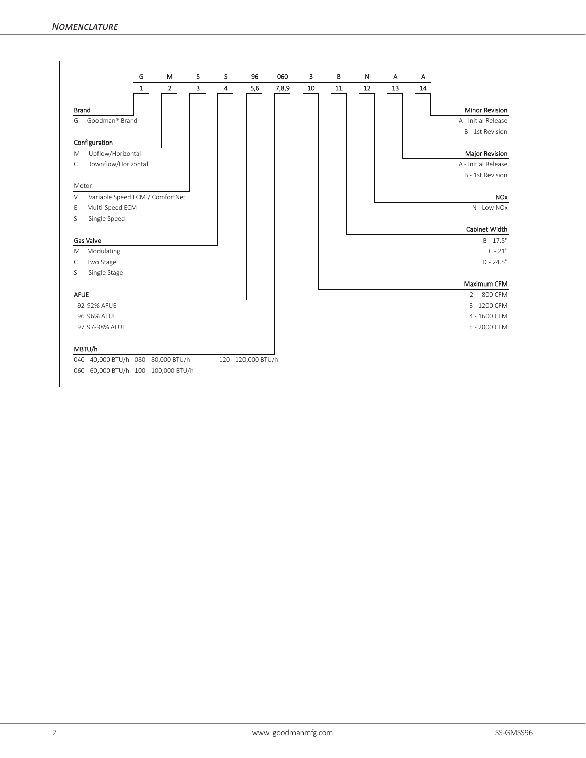|                                           | G            | M              | S | s              | 96                  | 060   | 3  | B  | N  | A  | Α  |                         |
|-------------------------------------------|--------------|----------------|---|----------------|---------------------|-------|----|----|----|----|----|-------------------------|
|                                           | $\mathbf{1}$ | $\overline{2}$ | 3 | $\overline{4}$ | 5,6                 | 7,8,9 | 10 | 11 | 12 | 13 | 14 |                         |
| <b>Brand</b>                              |              |                |   |                |                     |       |    |    |    |    |    | <b>Minor Revision</b>   |
| Goodman® Brand<br>G                       |              |                |   |                |                     |       |    |    |    |    |    | A - Initial Release     |
|                                           |              |                |   |                |                     |       |    |    |    |    |    | <b>B</b> - 1st Revision |
| Configuration                             |              |                |   |                |                     |       |    |    |    |    |    |                         |
| Upflow/Horizontal<br>M                    |              |                |   |                |                     |       |    |    |    |    |    | Major Revision          |
| Downflow/Horizontal<br>C                  |              |                |   |                |                     |       |    |    |    |    |    | A - Initial Release     |
|                                           |              |                |   |                |                     |       |    |    |    |    |    | <b>B</b> - 1st Revision |
| Motor                                     |              |                |   |                |                     |       |    |    |    |    |    |                         |
| Variable Speed ECM / ComfortNet<br>$\vee$ |              |                |   |                |                     |       |    |    |    |    |    | <b>NO<sub>x</sub></b>   |
| Multi-Speed ECM<br>Ε                      |              |                |   |                |                     |       |    |    |    |    |    | N - Low NOx             |
| S<br>Single Speed                         |              |                |   |                |                     |       |    |    |    |    |    |                         |
|                                           |              |                |   |                |                     |       |    |    |    |    |    | Cabinet Width           |
| <b>Gas Valve</b>                          |              |                |   |                |                     |       |    |    |    |    |    | $B - 17.5"$             |
| Modulating<br>M                           |              |                |   |                |                     |       |    |    |    |    |    | $C - 21"$               |
| Two Stage<br>C                            |              |                |   |                |                     |       |    |    |    |    |    | $D - 24.5"$             |
| S<br>Single Stage                         |              |                |   |                |                     |       |    |    |    |    |    |                         |
|                                           |              |                |   |                |                     |       |    |    |    |    |    | Maximum CFM             |
| <b>AFUE</b>                               |              |                |   |                |                     |       |    |    |    |    |    | 2 - 800 CFM             |
| 92 92% AFUE                               |              |                |   |                |                     |       |    |    |    |    |    | 3 - 1200 CFM            |
| 96 96% AFUE                               |              |                |   |                |                     |       |    |    |    |    |    | 4 - 1600 CFM            |
| 97 97-98% AFUE                            |              |                |   |                |                     |       |    |    |    |    |    | 5 - 2000 CFM            |
| MBTU/h                                    |              |                |   |                |                     |       |    |    |    |    |    |                         |
| 040 - 40,000 BTU/h 080 - 80,000 BTU/h     |              |                |   |                | 120 - 120,000 BTU/h |       |    |    |    |    |    |                         |
| 060 - 60,000 BTU/h 100 - 100,000 BTU/h    |              |                |   |                |                     |       |    |    |    |    |    |                         |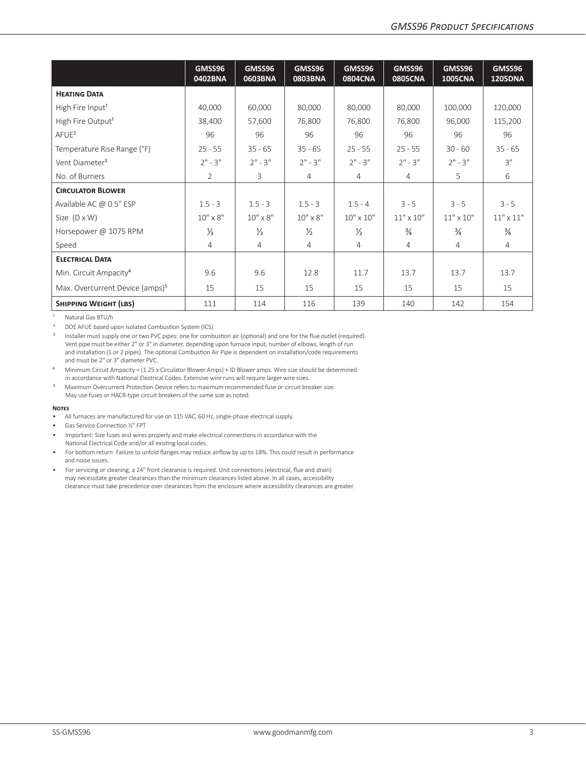|                                             | GMSS96<br>0402BNA | GMSS96<br>0603BNA | GMSS96<br>0803BNA | GMSS96<br><b>0804CNA</b> | GMSS96<br><b>0805CNA</b> | GMSS96<br><b>1005CNA</b> | GMSS96<br><b>1205DNA</b> |
|---------------------------------------------|-------------------|-------------------|-------------------|--------------------------|--------------------------|--------------------------|--------------------------|
| <b>HEATING DATA</b>                         |                   |                   |                   |                          |                          |                          |                          |
| High Fire Input <sup>1</sup>                | 40,000            | 60,000            | 80,000            | 80,000                   | 80,000                   | 100,000                  | 120,000                  |
| High Fire Output <sup>1</sup>               | 38,400            | 57,600            | 76,800            | 76,800                   | 76,800                   | 96,000                   | 115,200                  |
| $A$ FUE <sup>2</sup>                        | 96                | 96                | 96                | 96                       | 96                       | 96                       | 96                       |
| Temperature Rise Range (°F)                 | $25 - 55$         | $35 - 65$         | $35 - 65$         | $25 - 55$                | $25 - 55$                | $30 - 60$                | $35 - 65$                |
| Vent Diameter <sup>3</sup>                  | $2" - 3"$         | $2" - 3"$         | $2" - 3"$         | $2" - 3"$                | $2" - 3"$                | $2" - 3"$                | 3"                       |
| No. of Burners                              | $\overline{2}$    | 3                 | $\overline{4}$    | 4                        | $\overline{4}$           | 5                        | 6                        |
| <b>CIRCULATOR BLOWER</b>                    |                   |                   |                   |                          |                          |                          |                          |
| Available AC @ 0.5" ESP                     | $1.5 - 3$         | $1.5 - 3$         | $1.5 - 3$         | $1.5 - 4$                | $3 - 5$                  | $3 - 5$                  | $3 - 5$                  |
| Size $(D \times W)$                         | $10'' \times 8''$ | $10'' \times 8''$ | $10'' \times 8''$ | $10'' \times 10''$       | $11" \times 10"$         | $11" \times 10"$         | $11"$ x $11"$            |
| Horsepower @ 1075 RPM                       | $\frac{1}{3}$     | $\frac{1}{3}$     | $\frac{1}{2}$     | $\frac{1}{2}$            | $\frac{3}{4}$            | $\frac{3}{4}$            | $\frac{3}{4}$            |
| Speed                                       | $\overline{4}$    | 4                 | 4                 | 4                        | $\overline{4}$           | $\overline{4}$           | $\overline{4}$           |
| <b>ELECTRICAL DATA</b>                      |                   |                   |                   |                          |                          |                          |                          |
| Min. Circuit Ampacity <sup>4</sup>          | 9.6               | 9.6               | 12.8              | 11.7                     | 13.7                     | 13.7                     | 13.7                     |
| Max. Overcurrent Device (amps) <sup>5</sup> | 15                | 15                | 15                | 15                       | 15                       | 15                       | 15                       |
| <b>SHIPPING WEIGHT (LBS)</b>                | 111               | 114               | 116               | 139                      | 140                      | 142                      | 154                      |

<sup>1</sup> Natural Gas BTU/h

² DOE AFUE based upon Isolated Combustion System (ICS)

<sup>3</sup> Installer must supply one or two PVC pipes: one for combustion air (optional) and one for the flue outlet (required). Vent pipe must be either 2" or 3" in diameter, depending upon furnace input, number of elbows, length of run and installation (1 or 2 pipes). The optional Combustion Air Pipe is dependent on installation/code requirements and must be 2" or 3" diameter PVC.

- ⁴ Minimum Circuit Ampacity = (1.25 x Circulator Blower Amps) + ID Blower amps. Wire size should be determined in accordance with National Electrical Codes. Extensive wire runs will require larger wire sizes.
- ⁵ Maximum Overcurrent Protection Device refers to maximum recommended fuse or circuit breaker size. May use fuses or HACR-type circuit breakers of the same size as noted.

#### **Notes**

- All furnaces are manufactured for use on 115 VAC, 60 Hz, single-phase electrical supply.
- Gas Service Connection ½" FPT
- Important: Size fuses and wires properly and make electrical connections in accordance with the National Electrical Code and/or all existing local codes.
- For bottom return: Failure to unfold flanges may reduce airflow by up to 18%. This could result in performance and noise issues.
- For servicing or cleaning, a 24" front clearance is required. Unit connections (electrical, flue and drain) may necessitate greater clearances than the minimum clearances listed above. In all cases, accessibility clearance must take precedence over clearances from the enclosure where accessibility clearances are greater.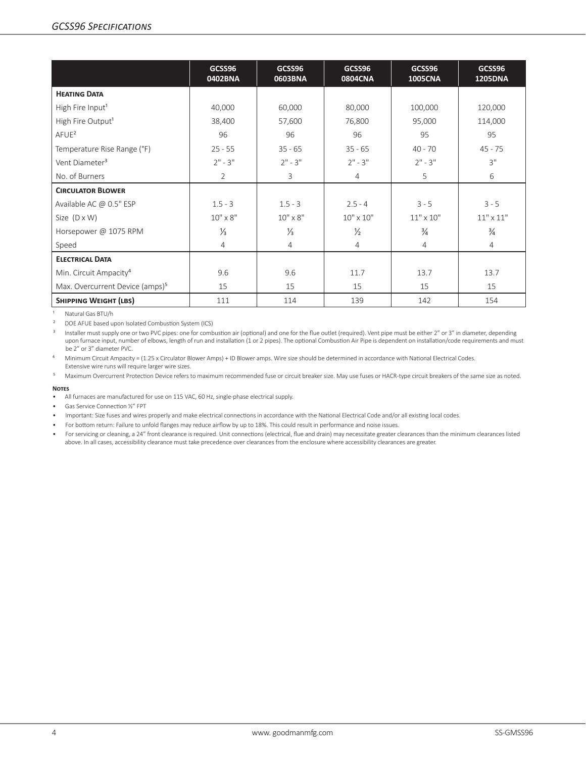|                                             | GCSS96<br>0402BNA | GCSS96<br>0603BNA | GCSS96<br>0804CNA  | GCSS96<br><b>1005CNA</b> | GCSS96<br><b>1205DNA</b> |
|---------------------------------------------|-------------------|-------------------|--------------------|--------------------------|--------------------------|
| <b>HEATING DATA</b>                         |                   |                   |                    |                          |                          |
| High Fire Input <sup>1</sup>                | 40,000            | 60,000            | 80,000             | 100,000                  | 120,000                  |
| High Fire Output <sup>1</sup>               | 38,400            | 57,600            | 76,800             | 95,000                   | 114,000                  |
| AFUE <sup>2</sup>                           | 96                | 96                | 96                 | 95                       | 95                       |
| Temperature Rise Range (°F)                 | $25 - 55$         | $35 - 65$         | $35 - 65$          | $40 - 70$                | $45 - 75$                |
| Vent Diameter <sup>3</sup>                  | $2" - 3"$         | $2" - 3"$         | $2" - 3"$          | $2" - 3"$                | 3"                       |
| No. of Burners                              | $\overline{2}$    | 3                 | $\overline{4}$     | 5                        | 6                        |
| <b>CIRCULATOR BLOWER</b>                    |                   |                   |                    |                          |                          |
| Available AC @ 0.5" ESP                     | $1.5 - 3$         | $1.5 - 3$         | $2.5 - 4$          | $3 - 5$                  | $3 - 5$                  |
| Size $(D \times W)$                         | $10'' \times 8''$ | $10'' \times 8''$ | $10'' \times 10''$ | $11" \times 10"$         | $11" \times 11"$         |
| Horsepower @ 1075 RPM                       | $\frac{1}{3}$     | $\frac{1}{3}$     | $\frac{1}{2}$      | $\frac{3}{4}$            | $\frac{3}{4}$            |
| Speed                                       | $\overline{4}$    | 4                 | $\overline{4}$     | 4                        | $\overline{4}$           |
| <b>ELECTRICAL DATA</b>                      |                   |                   |                    |                          |                          |
| Min. Circuit Ampacity <sup>4</sup>          | 9.6               | 9.6               | 11.7               | 13.7                     | 13.7                     |
| Max. Overcurrent Device (amps) <sup>5</sup> | 15                | 15                | 15                 | 15                       | 15                       |
| <b>SHIPPING WEIGHT (LBS)</b>                | 111               | 114               | 139                | 142                      | 154                      |

<sup>1</sup> Natural Gas BTU/h

<sup>2</sup> DOE AFUE based upon Isolated Combustion System (ICS)

<sup>3</sup> Installer must supply one or two PVC pipes: one for combustion air (optional) and one for the flue outlet (required). Vent pipe must be either 2" or 3" in diameter, depending upon furnace input, number of elbows, length of run and installation (1 or 2 pipes). The optional Combustion Air Pipe is dependent on installation/code requirements and must be 2" or 3" diameter PVC.

⁴ Minimum Circuit Ampacity = (1.25 x Circulator Blower Amps) + ID Blower amps. Wire size should be determined in accordance with National Electrical Codes. Extensive wire runs will require larger wire sizes.

<sup>5</sup> Maximum Overcurrent Protection Device refers to maximum recommended fuse or circuit breaker size. May use fuses or HACR-type circuit breakers of the same size as noted.

#### **Notes**

• All furnaces are manufactured for use on 115 VAC, 60 Hz, single-phase electrical supply.

• Gas Service Connection ½" FPT

• Important: Size fuses and wires properly and make electrical connections in accordance with the National Electrical Code and/or all existing local codes.

• For bottom return: Failure to unfold flanges may reduce airflow by up to 18%. This could result in performance and noise issues.

• For servicing or cleaning, a 24" front clearance is required. Unit connections (electrical, flue and drain) may necessitate greater clearances than the minimum clearances listed above. In all cases, accessibility clearance must take precedence over clearances from the enclosure where accessibility clearances are greater.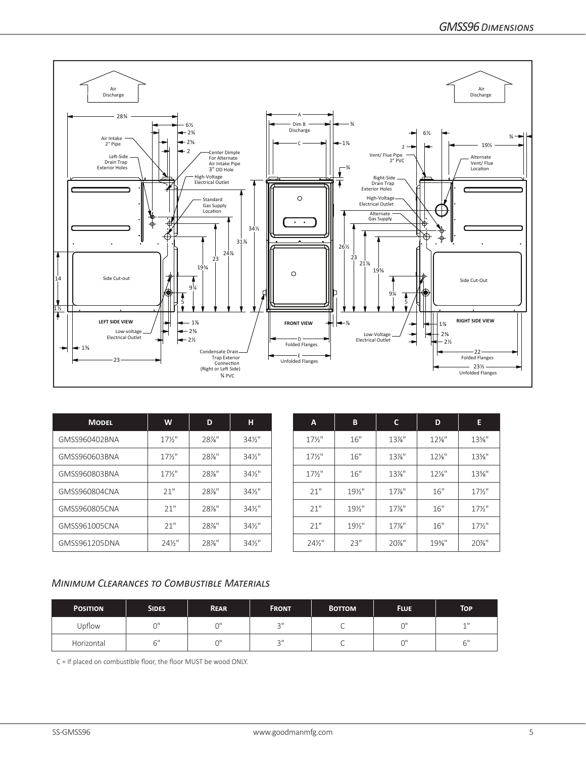

| <b>MODEL</b>  | W               | D        | н                 | $\overline{A}$    | $\mathbf{B}$ | C        | D               |                 |
|---------------|-----------------|----------|-------------------|-------------------|--------------|----------|-----------------|-----------------|
| GMSS960402BNA | $17\frac{1}{2}$ | 28%"     | $34\frac{1}{2}$ " | $17\frac{1}{2}$   | 16"          | $13\%$ " | $12\%$ "        | 13%"            |
| GMSS960603BNA | $17\frac{1}{2}$ | $28\%$ " | $34\frac{1}{2}$ " | $17\frac{1}{2}$   | 16"          | $13\%$ " | $12\frac{1}{8}$ | 13%"            |
| GMSS960803BNA | $17\frac{1}{2}$ | 28%"     | $34\frac{1}{2}$ " | $17\frac{1}{2}$   | 16"          | $13\%$ " | $12\%$ "        | 13%"            |
| GMSS960804CNA | 21"             | 28%"     | $34\frac{1}{2}$ " | 21"               | 191/2"       | $17\%$ " | 16"             | $17\frac{1}{2}$ |
| GMSS960805CNA | 21"             | 28%"     | $34\frac{1}{2}$ " | 21"               | $19\%$ "     | $17\%$ " | 16"             | $17\frac{1}{2}$ |
| GMSS961005CNA | 21"             | 28%"     | $34\frac{1}{2}$ " | 21"               | $19\%$ "     | $17%$ "  | 16"             | $17\frac{1}{2}$ |
| GMSS961205DNA | 241/2"          | 28%"     | $34\frac{1}{2}$ " | $24\frac{1}{2}$ " | 23"          | 20%"     | 19%             | 20%"            |

| <b>MODEL</b> | W                 | D       | н                 | A                 | B               | C        | D        | E               |
|--------------|-------------------|---------|-------------------|-------------------|-----------------|----------|----------|-----------------|
| 0402BNA      | $17\frac{1}{2}$   | 28%"    | $34\frac{1}{2}$ " | $17\frac{1}{2}$   | 16"             | $13\%$ " | $12\%$ " | $13\%$ "        |
| 0603BNA      | $17\frac{1}{2}$   | $28%$ " | $34\frac{1}{2}$ " | $17\frac{1}{2}$   | 16"             | $13\%$ " | $12\%$ " | $13\%$ "        |
| 0803BNA      | $17\frac{1}{2}$   | 28%"    | $34\frac{1}{2}$ " | $17\frac{1}{2}$   | 16"             | $13\%$ " | $12\%$ " | $13\%$ "        |
| 0804CNA      | 21"               | 28%"    | $34\frac{1}{2}$ " | 21"               | $19\frac{1}{2}$ | $17\%$ " | 16"      | $17\frac{1}{2}$ |
| 0805CNA      | 21"               | 28%"    | $34\frac{1}{2}$ " | 21"               | $19\%$ "        | $17%$ "  | 16"      | $17\frac{1}{2}$ |
| 1005CNA      | 21"               | 28%"    | $34\frac{1}{2}$ " | 21"               | $19\%$ "        | $17%$ "  | 16"      | $17\frac{1}{2}$ |
| 1205DNA      | $24\frac{1}{2}$ " | 28%"    | $34\frac{1}{2}$ " | $24\frac{1}{2}$ " | 23"             | $20\%$ " | 19%"     | 20%"            |

#### *Minimum Clearances to Combustible Materials*

| <b>POSITION</b> | <b>SIDES</b><br><b>REAR</b> |           | <b>FRONT</b>   | <b>BOTTOM</b> | <b>FLUE</b> | <b>TOP</b> |
|-----------------|-----------------------------|-----------|----------------|---------------|-------------|------------|
| Upflow          | $\sim$                      | $\bigcap$ | $\bigcap$<br>- |               | ωI          | 4H         |
| Horizontal      | $\sim$ 11                   | $\bigcap$ | $\bigcap$<br>U |               |             | - 11<br>ь  |

C = If placed on combustible floor, the floor MUST be wood ONLY.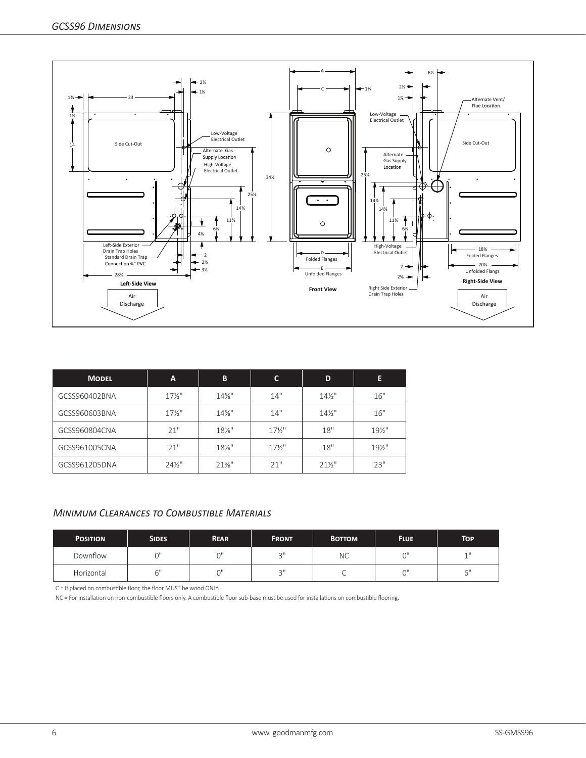

| <b>MODEL</b>  | A                 | В        | C               | D               | Е        |
|---------------|-------------------|----------|-----------------|-----------------|----------|
| GCSS960402BNA | $17\frac{1}{2}$   | $14\%$ " | 14"             | $14\frac{1}{2}$ | 16"      |
| GCSS960603BNA | $17\frac{1}{2}$   | $14\%$ " | 14"             | $14\frac{1}{2}$ | 16"      |
| GCSS960804CNA | 21"               | $18\%$ " | $17\frac{1}{2}$ | 18"             | $19\%$ " |
| GCSS961005CNA | 21"               | $18\%$ " | $17\frac{1}{2}$ | 18"             | $19\%$ " |
| GCSS961205DNA | $24\frac{1}{2}$ " | $21\%$ " | 21"             | $21\frac{1}{2}$ | 23"      |

### *Minimum Clearances to Combustible Materials*

| <b>POSITION</b> | <b>SIDES</b><br><b>REAR</b> |        | <b>FRONT</b> | <b>BOTTOM</b> | <b>FLUE</b> | <b>TOP</b>     |
|-----------------|-----------------------------|--------|--------------|---------------|-------------|----------------|
| Downflow        | $\sim$                      | $\sim$ | $\bigcap$    | <b>NC</b>     |             | 4H             |
| Horizontal      | $\sim$ 11                   | $\sim$ | $\bigcap$    |               |             | $\sim$ 11<br>◡ |

C = If placed on combustible floor, the floor MUST be wood ONLY.

NC = For installation on non-combustible floors only. A combustible floor sub-base must be used for installations on combustible flooring.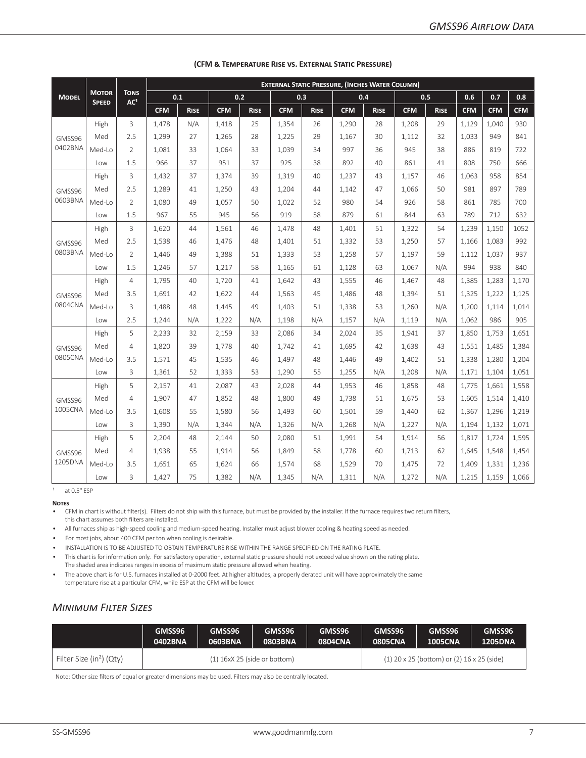|              |                              |                                | <b>EXTERNAL STATIC PRESSURE, (INCHES WATER COLUMN)</b> |             |            |             |            |             |            |             |            |             |            |            |            |
|--------------|------------------------------|--------------------------------|--------------------------------------------------------|-------------|------------|-------------|------------|-------------|------------|-------------|------------|-------------|------------|------------|------------|
| <b>MODEL</b> | <b>MOTOR</b><br><b>SPEED</b> | <b>TONS</b><br>AC <sup>1</sup> |                                                        | 0.1         |            | 0.2         |            | 0.3         |            | 0.4         |            | 0.5         | 0.6        | 0.7        | 0.8        |
|              |                              |                                | <b>CFM</b>                                             | <b>RISE</b> | <b>CFM</b> | <b>RISE</b> | <b>CFM</b> | <b>RISE</b> | <b>CFM</b> | <b>RISE</b> | <b>CFM</b> | <b>RISE</b> | <b>CFM</b> | <b>CFM</b> | <b>CFM</b> |
|              | High                         | 3                              | 1,478                                                  | N/A         | 1,418      | 25          | 1,354      | 26          | 1,290      | 28          | 1,208      | 29          | 1,129      | 1,040      | 930        |
| GMSS96       | Med                          | 2.5                            | 1,299                                                  | 27          | 1,265      | 28          | 1,225      | 29          | 1,167      | 30          | 1,112      | 32          | 1,033      | 949        | 841        |
| 0402BNA      | Med-Lo                       | $\overline{2}$                 | 1,081                                                  | 33          | 1,064      | 33          | 1,039      | 34          | 997        | 36          | 945        | 38          | 886        | 819        | 722        |
|              | Low                          | 1.5                            | 966                                                    | 37          | 951        | 37          | 925        | 38          | 892        | 40          | 861        | 41          | 808        | 750        | 666        |
|              | High                         | 3                              | 1,432                                                  | 37          | 1,374      | 39          | 1,319      | 40          | 1,237      | 43          | 1,157      | 46          | 1,063      | 958        | 854        |
| GMSS96       | Med                          | 2.5                            | 1,289                                                  | 41          | 1,250      | 43          | 1,204      | 44          | 1.142      | 47          | 1.066      | 50          | 981        | 897        | 789        |
| 0603BNA      | Med-Lo                       | $\overline{2}$                 | 1.080                                                  | 49          | 1,057      | 50          | 1,022      | 52          | 980        | 54          | 926        | 58          | 861        | 785        | 700        |
|              | Low                          | 1.5                            | 967                                                    | 55          | 945        | 56          | 919        | 58          | 879        | 61          | 844        | 63          | 789        | 712        | 632        |
|              | High                         | 3                              | 1,620                                                  | 44          | 1,561      | 46          | 1,478      | 48          | 1,401      | 51          | 1,322      | 54          | 1,239      | 1,150      | 1052       |
| GMSS96       | Med                          | 2.5                            | 1,538                                                  | 46          | 1,476      | 48          | 1,401      | 51          | 1,332      | 53          | 1,250      | 57          | 1,166      | 1,083      | 992        |
| 0803BNA      | Med-Lo                       | $\overline{2}$                 | 1,446                                                  | 49          | 1,388      | 51          | 1,333      | 53          | 1,258      | 57          | 1,197      | 59          | 1,112      | 1,037      | 937        |
|              | Low                          | 1.5                            | 1,246                                                  | 57          | 1,217      | 58          | 1,165      | 61          | 1,128      | 63          | 1,067      | N/A         | 994        | 938        | 840        |
|              | High                         | $\overline{4}$                 | 1,795                                                  | 40          | 1,720      | 41          | 1,642      | 43          | 1,555      | 46          | 1,467      | 48          | 1,385      | 1,283      | 1,170      |
| GMSS96       | Med                          | 3.5                            | 1,691                                                  | 42          | 1,622      | 44          | 1,563      | 45          | 1,486      | 48          | 1,394      | 51          | 1,325      | 1,222      | 1,125      |
| 0804CNA      | Med-Lo                       | 3                              | 1,488                                                  | 48          | 1,445      | 49          | 1,403      | 51          | 1,338      | 53          | 1,260      | N/A         | 1,200      | 1,114      | 1,014      |
|              | Low                          | 2.5                            | 1,244                                                  | N/A         | 1,222      | N/A         | 1,198      | N/A         | 1,157      | N/A         | 1,119      | N/A         | 1,062      | 986        | 905        |
|              | High                         | 5                              | 2,233                                                  | 32          | 2,159      | 33          | 2,086      | 34          | 2,024      | 35          | 1,941      | 37          | 1,850      | 1.753      | 1,651      |
| GMSS96       | Med                          | $\overline{4}$                 | 1,820                                                  | 39          | 1,778      | 40          | 1,742      | 41          | 1,695      | 42          | 1.638      | 43          | 1,551      | 1,485      | 1,384      |
| 0805CNA      | Med-Lo                       | 3.5                            | 1,571                                                  | 45          | 1,535      | 46          | 1,497      | 48          | 1.446      | 49          | 1.402      | 51          | 1,338      | 1,280      | 1,204      |
|              | Low                          | 3                              | 1,361                                                  | 52          | 1,333      | 53          | 1,290      | 55          | 1,255      | N/A         | 1,208      | N/A         | 1,171      | 1,104      | 1,051      |
|              | High                         | 5                              | 2,157                                                  | 41          | 2,087      | 43          | 2,028      | 44          | 1,953      | 46          | 1,858      | 48          | 1,775      | 1,661      | 1,558      |
| GMSS96       | Med                          | $\overline{4}$                 | 1,907                                                  | 47          | 1,852      | 48          | 1,800      | 49          | 1,738      | 51          | 1,675      | 53          | 1,605      | 1,514      | 1,410      |
| 1005CNA      | Med-Lo                       | 3.5                            | 1,608                                                  | 55          | 1,580      | 56          | 1,493      | 60          | 1,501      | 59          | 1,440      | 62          | 1,367      | 1,296      | 1,219      |
|              | Low                          | 3                              | 1,390                                                  | N/A         | 1,344      | N/A         | 1,326      | N/A         | 1,268      | N/A         | 1,227      | N/A         | 1,194      | 1,132      | 1,071      |
|              | High                         | 5                              | 2,204                                                  | 48          | 2,144      | 50          | 2,080      | 51          | 1,991      | 54          | 1,914      | 56          | 1,817      | 1,724      | 1,595      |
| GMSS96       | Med                          | $\overline{4}$                 | 1,938                                                  | 55          | 1,914      | 56          | 1,849      | 58          | 1,778      | 60          | 1,713      | 62          | 1,645      | 1,548      | 1,454      |
| 1205DNA      | Med-Lo                       | 3.5                            | 1,651                                                  | 65          | 1,624      | 66          | 1,574      | 68          | 1,529      | 70          | 1,475      | 72          | 1,409      | 1,331      | 1,236      |
|              | Low                          | 3                              | 1,427                                                  | 75          | 1,382      | N/A         | 1,345      | N/A         | 1,311      | N/A         | 1,272      | N/A         | 1,215      | 1,159      | 1,066      |

#### **(CFM & Temperature Rise vs. External Static Pressure)**

 $1$  at 0.5" ESP

**Notes**

• CFM in chart is without filter(s). Filters do not ship with this furnace, but must be provided by the installer. If the furnace requires two return filters,

this chart assumes both filters are installed.

• All furnaces ship as high-speed cooling and medium-speed heating. Installer must adjust blower cooling & heating speed as needed.

• For most jobs, about 400 CFM per ton when cooling is desirable.

• INSTALLATION IS TO BE ADJUSTED TO OBTAIN TEMPERATURE RISE WITHIN THE RANGE SPECIFIED ON THE RATING PLATE.

• This chart is for information only. For satisfactory operation, external static pressure should not exceed value shown on the rating plate. The shaded area indicates ranges in excess of maximum static pressure allowed when heating.

• The above chart is for U.S. furnaces installed at 0-2000 feet. At higher altitudes, a properly derated unit will have approximately the same temperature rise at a particular CFM, while ESP at the CFM will be lower.

### *Minimum Filter Sizes*

|                                      | GMSS96<br>0402BNA | GMSS96<br>GMSS96<br>0803BNA<br>0603BNA |                                | GMSS96<br><b>0804CNA</b> | GMSS96<br><b>0805CNA</b> | GMSS96<br><b>1005CNA</b>                       | GMSS96<br><b>1205DNA</b> |
|--------------------------------------|-------------------|----------------------------------------|--------------------------------|--------------------------|--------------------------|------------------------------------------------|--------------------------|
| Filter Size (in <sup>2</sup> ) (Qty) |                   |                                        | $(1)$ 16xX 25 (side or bottom) |                          |                          | $(1)$ 20 x 25 (bottom) or $(2)$ 16 x 25 (side) |                          |

Note: Other size filters of equal or greater dimensions may be used. Filters may also be centrally located.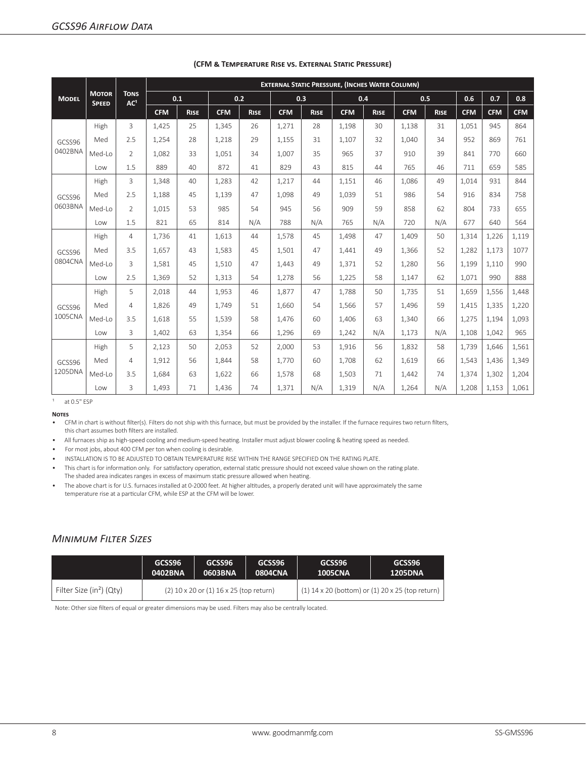|              |                              | <b>TONS</b>     |            |             |            |             |            |             | <b>EXTERNAL STATIC PRESSURE, (INCHES WATER COLUMN)</b> |             |            |             |            |            |            |
|--------------|------------------------------|-----------------|------------|-------------|------------|-------------|------------|-------------|--------------------------------------------------------|-------------|------------|-------------|------------|------------|------------|
| <b>MODEL</b> | <b>MOTOR</b><br><b>SPEED</b> | AC <sup>1</sup> | 0.1        |             |            | 0.2         |            | 0.3         |                                                        | 0.4         |            | 0.5         | 0.6        | 0.7        | 0.8        |
|              |                              |                 | <b>CFM</b> | <b>RISE</b> | <b>CFM</b> | <b>RISE</b> | <b>CFM</b> | <b>RISE</b> | <b>CFM</b>                                             | <b>RISE</b> | <b>CFM</b> | <b>RISE</b> | <b>CFM</b> | <b>CFM</b> | <b>CFM</b> |
|              | High                         | 3               | 1,425      | 25          | 1,345      | 26          | 1,271      | 28          | 1,198                                                  | 30          | 1,138      | 31          | 1,051      | 945        | 864        |
| GCSS96       | Med                          | 2.5             | 1,254      | 28          | 1,218      | 29          | 1,155      | 31          | 1.107                                                  | 32          | 1.040      | 34          | 952        | 869        | 761        |
| 0402BNA      | Med-Lo                       | $\overline{2}$  | 1,082      | 33          | 1,051      | 34          | 1,007      | 35          | 965                                                    | 37          | 910        | 39          | 841        | 770        | 660        |
|              | Low                          | 1.5             | 889        | 40          | 872        | 41          | 829        | 43          | 815                                                    | 44          | 765        | 46          | 711        | 659        | 585        |
|              | High                         | 3               | 1,348      | 40          | 1,283      | 42          | 1,217      | 44          | 1,151                                                  | 46          | 1,086      | 49          | 1,014      | 931        | 844        |
| GCSS96       | Med                          | 2.5             | 1,188      | 45          | 1,139      | 47          | 1,098      | 49          | 1,039                                                  | 51          | 986        | 54          | 916        | 834        | 758        |
| 0603BNA      | Med-Lo                       | $\overline{2}$  | 1.015      | 53          | 985        | 54          | 945        | 56          | 909                                                    | 59          | 858        | 62          | 804        | 733        | 655        |
|              | Low                          | 1.5             | 821        | 65          | 814        | N/A         | 788        | N/A         | 765                                                    | N/A         | 720        | N/A         | 677        | 640        | 564        |
|              | High                         | $\overline{4}$  | 1,736      | 41          | 1,613      | 44          | 1,578      | 45          | 1.498                                                  | 47          | 1,409      | 50          | 1,314      | 1,226      | 1,119      |
| GCSS96       | Med                          | 3.5             | 1,657      | 43          | 1,583      | 45          | 1,501      | 47          | 1,441                                                  | 49          | 1,366      | 52          | 1,282      | 1,173      | 1077       |
| 0804CNA      | Med-Lo                       | 3               | 1,581      | 45          | 1,510      | 47          | 1,443      | 49          | 1,371                                                  | 52          | 1,280      | 56          | 1,199      | 1,110      | 990        |
|              | <b>Low</b>                   | 2.5             | 1,369      | 52          | 1,313      | 54          | 1,278      | 56          | 1,225                                                  | 58          | 1,147      | 62          | 1,071      | 990        | 888        |
|              | High                         | 5               | 2,018      | 44          | 1,953      | 46          | 1,877      | 47          | 1,788                                                  | 50          | 1,735      | 51          | 1,659      | 1,556      | 1,448      |
| GCSS96       | Med                          | $\overline{4}$  | 1,826      | 49          | 1,749      | 51          | 1,660      | 54          | 1.566                                                  | 57          | 1,496      | 59          | 1.415      | 1,335      | 1,220      |
| 1005CNA      | Med-Lo                       | 3.5             | 1,618      | 55          | 1,539      | 58          | 1,476      | 60          | 1,406                                                  | 63          | 1,340      | 66          | 1,275      | 1,194      | 1,093      |
|              | Low                          | 3               | 1,402      | 63          | 1,354      | 66          | 1,296      | 69          | 1,242                                                  | N/A         | 1,173      | N/A         | 1,108      | 1,042      | 965        |
|              | High                         | 5               | 2,123      | 50          | 2,053      | 52          | 2,000      | 53          | 1,916                                                  | 56          | 1,832      | 58          | 1,739      | 1,646      | 1,561      |
| GCSS96       | Med                          | $\overline{4}$  | 1,912      | 56          | 1,844      | 58          | 1,770      | 60          | 1.708                                                  | 62          | 1,619      | 66          | 1,543      | 1.436      | 1,349      |
| 1205DNA      | Med-Lo                       | 3.5             | 1,684      | 63          | 1,622      | 66          | 1,578      | 68          | 1,503                                                  | 71          | 1,442      | 74          | 1,374      | 1,302      | 1,204      |
|              | Low                          | 3               | 1,493      | 71          | 1,436      | 74          | 1,371      | N/A         | 1,319                                                  | N/A         | 1,264      | N/A         | 1,208      | 1,153      | 1,061      |

#### **(CFM & Temperature Rise vs. External Static Pressure)**

 $1$  at 0.5" ESP

**Notes**

• CFM in chart is without filter(s). Filters do not ship with this furnace, but must be provided by the installer. If the furnace requires two return filters, this chart assumes both filters are installed.

• All furnaces ship as high-speed cooling and medium-speed heating. Installer must adjust blower cooling & heating speed as needed.

• For most jobs, about 400 CFM per ton when cooling is desirable.

• INSTALLATION IS TO BE ADJUSTED TO OBTAIN TEMPERATURE RISE WITHIN THE RANGE SPECIFIED ON THE RATING PLATE.

• This chart is for information only. For satisfactory operation, external static pressure should not exceed value shown on the rating plate. The shaded area indicates ranges in excess of maximum static pressure allowed when heating.

• The above chart is for U.S. furnaces installed at 0-2000 feet. At higher altitudes, a properly derated unit will have approximately the same temperature rise at a particular CFM, while ESP at the CFM will be lower.

#### *Minimum Filter Sizes*

|                                      | GCSS96                                      | GCSS96  | GCSS96         | GCSS96                                             | GCSS96         |  |
|--------------------------------------|---------------------------------------------|---------|----------------|----------------------------------------------------|----------------|--|
|                                      | 0402BNA                                     | 0603BNA | <b>0804CNA</b> | <b>1005CNA</b>                                     | <b>1205DNA</b> |  |
| Filter Size (in <sup>2</sup> ) (Qty) | $(2)$ 10 x 20 or $(1)$ 16 x 25 (top return) |         |                | $(1)$ 14 x 20 (bottom) or (1) 20 x 25 (top return) |                |  |

Note: Other size filters of equal or greater dimensions may be used. Filters may also be centrally located.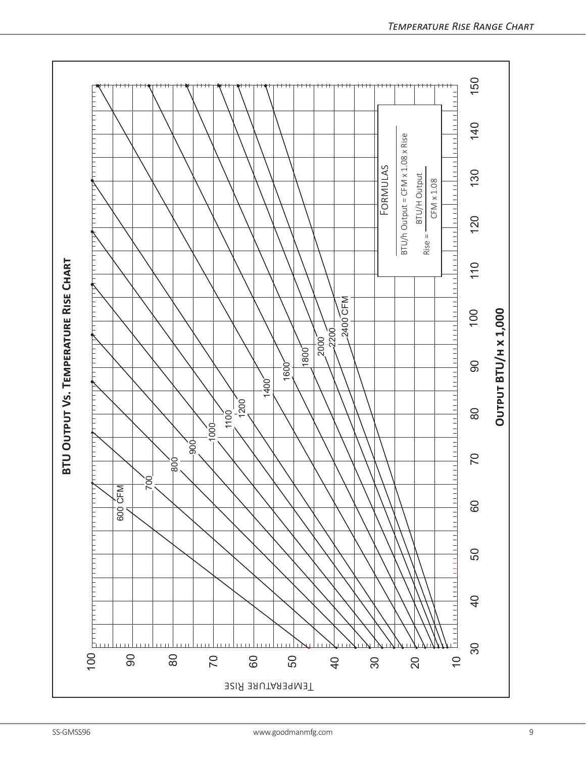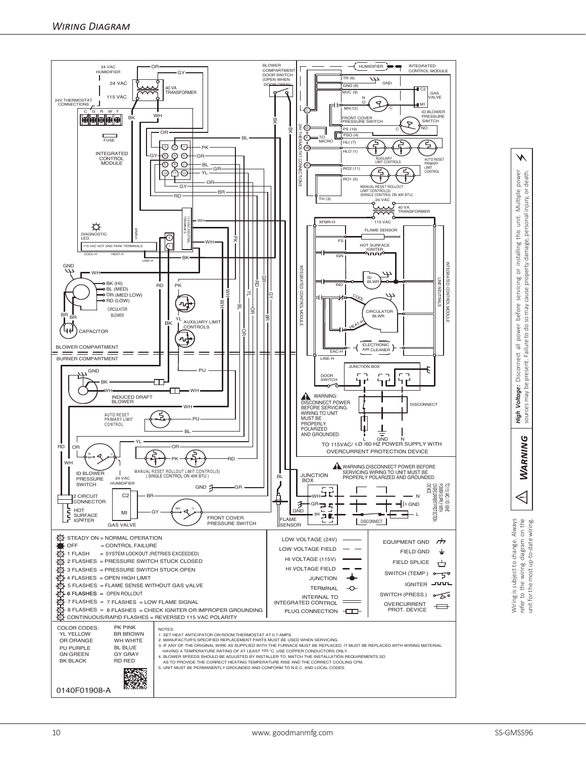

power<br>death. *Warning High Voltage:* Disconnect all power before servicing or installing this unit. Multiple power sources may be present. Failure to do so may cause property damage, personal injury, or death. this unit. Multiple injury, or servicing or installing this unit.<br>cause property damage, personal cause power before present. Failure to do so may **High Voltage:** Disconnect all<br>sources may be present. Failur **WARNING** 

⚡

Wiring is subject to change. Always<br>refer to the wiring diagram on the<br>unit for the most up-to-date wiring. Wiring is subject to change. Always refer to the wiring diagram on the unit for the most up-to-date wiring.

 $\triangleleft$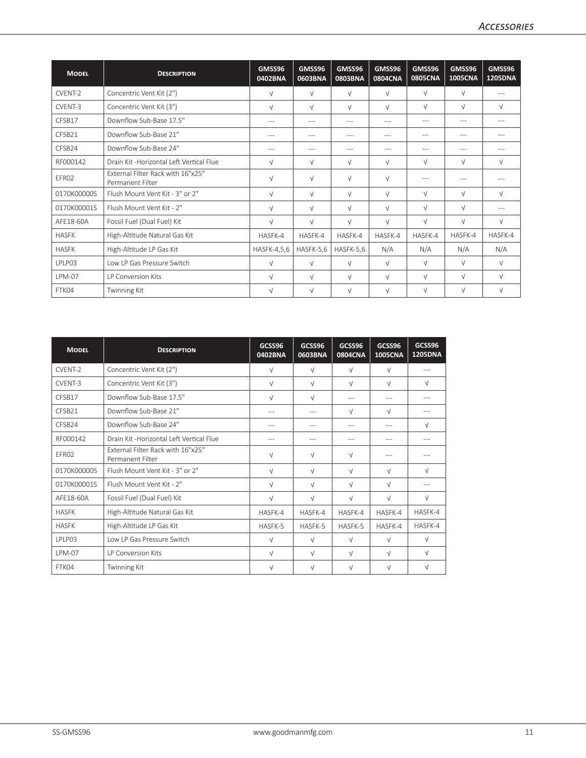| <b>MODEL</b>  | <b>DESCRIPTION</b>                                    | GMSS96<br>0402BNA | GMSS96<br>0603BNA | GMSS96<br>0803BNA | GMSS96<br><b>0804CNA</b> | GMSS96<br><b>0805CNA</b> | GMSS96<br><b>1005CNA</b> | GMSS96<br><b>1205DNA</b> |
|---------------|-------------------------------------------------------|-------------------|-------------------|-------------------|--------------------------|--------------------------|--------------------------|--------------------------|
| CVENT-2       | Concentric Vent Kit (2")                              | $\sqrt{ }$        | $\sqrt{ }$        | $\sqrt{}$         | $\sqrt{ }$               | $\sqrt{ }$               | $\sqrt{ }$               | $-$                      |
| CVFNT-3       | Concentric Vent Kit (3")                              | $\sqrt{ }$        | $\sqrt{ }$        | $\sqrt{ }$        | $\sqrt{ }$               | $\sqrt{ }$               | $\sqrt{ }$               | $\sqrt{ }$               |
| CFSB17        | Downflow Sub-Base 17.5"                               | $---$             | $---$             | $\cdots$          | $---$                    | $\cdots$                 | $---$                    | $---$                    |
| CFSB21        | Downflow Sub-Base 21"                                 | $---$             | $---$             | $---$             | $---$                    | $---$                    | $---$                    | $---$                    |
| CFSB24        | Downflow Sub-Base 24"                                 | $---$             | $\cdots$          | $\cdots$          | $\cdots$                 | $---$                    | $---$                    | $---$                    |
| RF000142      | Drain Kit -Horizontal Left Vertical Flue              | $\sqrt{ }$        | $\sqrt{ }$        | $\sqrt{ }$        | $\sqrt{ }$               | $\sqrt{ }$               | $\sqrt{ }$               | $\sqrt{ }$               |
| EFR02         | External Filter Rack with 16"x25"<br>Permanent Filter | $\sqrt{ }$        | $\sqrt{ }$        | $\sqrt{ }$        | $\sqrt{ }$               | $\cdots$                 | $---$                    | $---$                    |
| 0170K00000S   | Flush Mount Vent Kit - 3" or 2"                       | $\sqrt{ }$        | $\sqrt{ }$        | $\sqrt{ }$        | $\sqrt{ }$               | $\sqrt{ }$               | $\sqrt{ }$               | $\sqrt{ }$               |
| 0170K00001S   | Flush Mount Vent Kit - 2"                             | $\sqrt{ }$        | $\sqrt{ }$        | $\sqrt{}$         | $\sqrt{ }$               | $\sqrt{ }$               | $\sqrt{ }$               | $---$                    |
| AFE18-60A     | Fossil Fuel (Dual Fuel) Kit                           | $\sqrt{ }$        | $\sqrt{ }$        | $\sqrt{ }$        | $\sqrt{ }$               | $\sqrt{ }$               | $\sqrt{ }$               | $\sqrt{ }$               |
| <b>HASFK</b>  | High-Altitude Natural Gas Kit                         | HASFK-4           | HASFK-4           | HASFK-4           | HASFK-4                  | HASFK-4                  | HASFK-4                  | HASFK-4                  |
| <b>HASFK</b>  | High-Altitude LP Gas Kit                              | HASFK-4,5,6       | HASFK-5,6         | HASFK-5,6         | N/A                      | N/A                      | N/A                      | N/A                      |
| <b>IPIP03</b> | Low LP Gas Pressure Switch                            | $\sqrt{ }$        | $\sqrt{ }$        | $\sqrt{ }$        | $\sqrt{ }$               | $\sqrt{ }$               | $\sqrt{ }$               | $\sqrt{ }$               |
| <b>LPM-07</b> | LP Conversion Kits                                    | $\sqrt{ }$        | $\sqrt{ }$        | $\sqrt{ }$        | $\sqrt{ }$               | $\sqrt{ }$               | $\sqrt{ }$               | $\sqrt{ }$               |
| FTK04         | Twinning Kit                                          | $\sqrt{ }$        | $\sqrt{ }$        | $\sqrt{}$         | $\sqrt{ }$               | $\sqrt{ }$               | $\sqrt{ }$               | $\sqrt{ }$               |

| <b>MODEL</b>       | <b>DESCRIPTION</b>                                    | GCSS96<br>0402BNA | GCSS96<br>0603BNA | GCSS96<br>0804CNA | GCSS96<br><b>1005CNA</b> | GCSS96<br>1205DNA |
|--------------------|-------------------------------------------------------|-------------------|-------------------|-------------------|--------------------------|-------------------|
| CVFNT-2            | Concentric Vent Kit (2")                              | $\sqrt{ }$        | $\sqrt{ }$        | $\sqrt{ }$        | $\sqrt{ }$               | $---$             |
| CVFNT-3            | Concentric Vent Kit (3")                              | $\sqrt{ }$        | $\sqrt{ }$        | $\sqrt{ }$        | $\sqrt{ }$               | $\sqrt{ }$        |
| CFSB17             | Downflow Sub-Base 17.5"                               | $\sqrt{ }$        | $\sqrt{ }$        | $---$             | $- - -$                  |                   |
| CFSB <sub>21</sub> | Downflow Sub-Base 21"                                 |                   | $---$             | $\sqrt{ }$        | $\sqrt{ }$               |                   |
| CFSB24             | Downflow Sub-Base 24"                                 | $---$             | ---               | $---$             | $---$                    | $\sqrt{ }$        |
| RF000142           | Drain Kit -Horizontal Left Vertical Flue              | $---$             | $---$             | $---$             | ---                      | $---$             |
| FFR02              | External Filter Rack with 16"x25"<br>Permanent Filter | $\sqrt{ }$        | $\sqrt{ }$        | $\sqrt{ }$        | ---                      |                   |
| 0170K00000S        | Flush Mount Vent Kit - 3" or 2"                       | $\sqrt{ }$        | $\sqrt{ }$        | $\sqrt{ }$        | $\sqrt{ }$               | $\sqrt{ }$        |
| 0170K00001S        | Flush Mount Vent Kit - 2"                             | $\sqrt{ }$        | $\sqrt{ }$        | $\sqrt{ }$        | $\sqrt{ }$               | $---$             |
| AFE18-60A          | Fossil Fuel (Dual Fuel) Kit                           | $\sqrt{ }$        | $\sqrt{ }$        | $\sqrt{ }$        | $\sqrt{ }$               | $\sqrt{ }$        |
| <b>HASFK</b>       | High-Altitude Natural Gas Kit                         | HASFK-4           | HASFK-4           | HASFK-4           | HASFK-4                  | HASFK-4           |
| <b>HASFK</b>       | High-Altitude LP Gas Kit                              | HASFK-5           | HASFK-5           | HASFK-5           | HASFK-4                  | HASFK-4           |
| LPLP03             | Low LP Gas Pressure Switch                            | $\sqrt{ }$        | $\sqrt{ }$        | $\sqrt{ }$        | $\sqrt{ }$               | $\sqrt{ }$        |
| I PM-07            | LP Conversion Kits                                    | $\sqrt{ }$        | $\sqrt{ }$        | $\sqrt{ }$        | $\sqrt{ }$               | $\sqrt{ }$        |
| FTK04              | Twinning Kit                                          | $\sqrt{ }$        | ν                 | $\sqrt{ }$        | $\sqrt{ }$               | $\sqrt{ }$        |